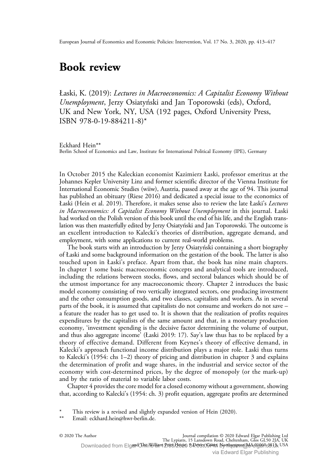## Book review

Łaski, K. (2019): Lectures in Macroeconomics: A Capitalist Economy Without Unemployment, Jerzy Osiatyński and Jan Toporowski (eds), Oxford, UK and New York, NY, USA (192 pages, Oxford University Press, ISBN 978-0-19-884211-8)\*

Eckhard Hein\*\* Berlin School of Economics and Law, Institute for International Political Economy (IPE), Germany

In October 2015 the Kaleckian economist Kazimierz Łaski, professor emeritus at the Johannes Kepler University Linz and former scientific director of the Vienna Institute for International Economic Studies (wiiw), Austria, passed away at the age of 94. This journal has published an obituary (Riese 2016) and dedicated a special issue to the economics of Łaski (Hein et al. 2019). Therefore, it makes sense also to review the late Łaski's Lectures in Macroeconomics: A Capitalist Economy Without Unemployment in this journal. Łaski had worked on the Polish version of this book until the end of his life, and the English translation was then masterfully edited by Jerzy Osiatyński and Jan Toporowski. The outcome is an excellent introduction to Kalecki's theories of distribution, aggregate demand, and employment, with some applications to current real-world problems.

The book starts with an introduction by Jerzy Osiatyński containing a short biography of Łaski and some background information on the gestation of the book. The latter is also touched upon in Łaski's preface. Apart from that, the book has nine main chapters. In chapter 1 some basic macroeconomic concepts and analytical tools are introduced, including the relations between stocks, flows, and sectoral balances which should be of the utmost importance for any macroeconomic theory. Chapter 2 introduces the basic model economy consisting of two vertically integrated sectors, one producing investment and the other consumption goods, and two classes, capitalists and workers. As in several parts of the book, it is assumed that capitalists do not consume and workers do not save – a feature the reader has to get used to. It is shown that the realization of profits requires expenditures by the capitalists of the same amount and that, in a monetary production economy, 'investment spending is the decisive factor determining the volume of output, and thus also aggregate income' (Łaski 2019: 17). Say's law thus has to be replaced by a theory of effective demand. Different from Keynes's theory of effective demand, in Kalecki's approach functional income distribution plays a major role. Łaski thus turns to Kalecki's (1954: chs 1–2) theory of pricing and distribution in chapter 3 and explains the determination of profit and wage shares, in the industrial and service sector of the economy with cost-determined prices, by the degree of monopoly (or the mark-up) and by the ratio of material to variable labor costs.

Chapter 4 provides the core model for a closed economy without a government, showing that, according to Kalecki's (1954: ch. 3) profit equation, aggregate profits are determined

© 2020 The Author Journal compilation © 2020 Edward Elgar Publishing Ltd

The Lypiatts, 15 Lansdown Road, Cheltenham, Glos GL50 2JA, UK<br>Downloaded from Elg**and ThinWilliam Prats/2020 D.PexyCopit, IS** USA

This review is a revised and slightly expanded version of Hein (2020).

Email: [eckhard.hein@hwr-berlin.de](mailto:eckhard.hein@hwr-berlin.de).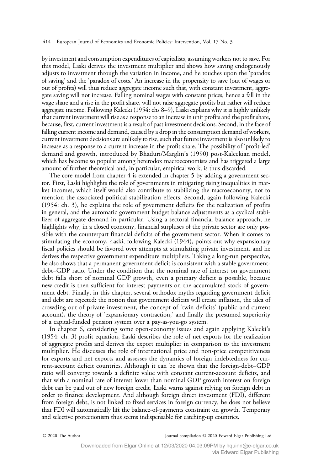by investment and consumption expenditures of capitalists, assuming workers not to save. For this model, Łaski derives the investment multiplier and shows how saving endogenously adjusts to investment through the variation in income, and he touches upon the 'paradox of saving' and the 'paradox of costs.' An increase in the propensity to save (out of wages or out of profits) will thus reduce aggregate income such that, with constant investment, aggregate saving will not increase. Falling nominal wages with constant prices, hence a fall in the wage share and a rise in the profit share, will not raise aggregate profits but rather will reduce aggregate income. Following Kalecki (1954: chs 8–9), Łaski explains why it is highly unlikely that current investment will rise as a response to an increase in unit profits and the profit share, because, first, current investment is a result of past investment decisions. Second, in the face of falling current income and demand, caused by a drop in the consumption demand of workers, current investment decisions are unlikely to rise, such that future investment is also unlikely to increase as a response to a current increase in the profit share. The possibility of 'profit-led' demand and growth, introduced by Bhaduri/Marglin's (1990) post-Kaleckian model, which has become so popular among heterodox macroeconomists and has triggered a large amount of further theoretical and, in particular, empirical work, is thus discarded.

The core model from chapter 4 is extended in chapter 5 by adding a government sector. First, Łaski highlights the role of governments in mitigating rising inequalities in market incomes, which itself would also contribute to stabilizing the macroeconomy, not to mention the associated political stabilization effects. Second, again following Kalecki (1954: ch. 3), he explains the role of government deficits for the realization of profits in general, and the automatic government budget balance adjustments as a cyclical stabilizer of aggregate demand in particular. Using a sectoral financial balance approach, he highlights why, in a closed economy, financial surpluses of the private sector are only possible with the counterpart financial deficits of the government sector. When it comes to stimulating the economy, Łaski, following Kalecki (1944), points out why expansionary fiscal policies should be favored over attempts at stimulating private investment, and he derives the respective government expenditure multipliers. Taking a long-run perspective, he also shows that a permanent government deficit is consistent with a stable governmentdebt–GDP ratio. Under the condition that the nominal rate of interest on government debt falls short of nominal GDP growth, even a primary deficit is possible, because new credit is then sufficient for interest payments on the accumulated stock of government debt. Finally, in this chapter, several orthodox myths regarding government deficit and debt are rejected: the notion that government deficits will create inflation, the idea of crowding out of private investment, the concept of 'twin deficits' (public and current account), the theory of 'expansionary contraction,' and finally the presumed superiority of a capital-funded pension system over a pay-as-you-go system.

In chapter 6, considering some open-economy issues and again applying Kalecki's (1954: ch. 3) profit equation, Łaski describes the role of net exports for the realization of aggregate profits and derives the export multiplier in comparison to the investment multiplier. He discusses the role of international price and non-price competitiveness for exports and net exports and assesses the dynamics of foreign indebtedness for current-account deficit countries. Although it can be shown that the foreign-debt–GDP ratio will converge towards a definite value with constant current-account deficits, and that with a nominal rate of interest lower than nominal GDP growth interest on foreign debt can be paid out of new foreign credit, Łaski warns against relying on foreign debt in order to finance development. And although foreign direct investment (FDI), different from foreign debt, is not linked to fixed services in foreign currency, he does not believe that FDI will automatically lift the balance-of-payments constraint on growth. Temporary and selective protectionism thus seems indispensable for catching-up countries.

© 2020 The Author Journal compilation © 2020 Edward Elgar Publishing Ltd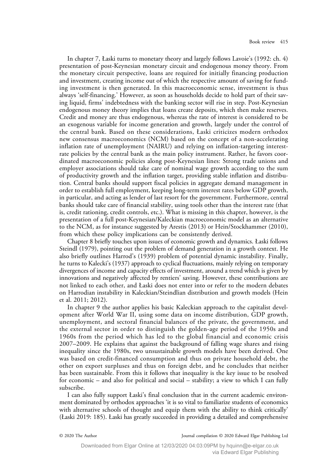In chapter 7, Łaski turns to monetary theory and largely follows Lavoie's (1992: ch. 4) presentation of post-Keynesian monetary circuit and endogenous money theory. From the monetary circuit perspective, loans are required for initially financing production and investment, creating income out of which the respective amount of saving for funding investment is then generated. In this macroeconomic sense, investment is thus always 'self-financing.' However, as soon as households decide to hold part of their saving liquid, firms' indebtedness with the banking sector will rise in step. Post-Keynesian endogenous money theory implies that loans create deposits, which then make reserves. Credit and money are thus endogenous, whereas the rate of interest is considered to be an exogenous variable for income generation and growth, largely under the control of the central bank. Based on these considerations, Łaski criticizes modern orthodox new consensus macroeconomics (NCM) based on the concept of a non-accelerating inflation rate of unemployment (NAIRU) and relying on inflation-targeting interestrate policies by the central bank as the main policy instrument. Rather, he favors coordinated macroeconomic policies along post-Keynesian lines: Strong trade unions and employer associations should take care of nominal wage growth according to the sum of productivity growth and the inflation target, providing stable inflation and distribution. Central banks should support fiscal policies in aggregate demand management in order to establish full employment, keeping long-term interest rates below GDP growth, in particular, and acting as lender of last resort for the government. Furthermore, central banks should take care of financial stability, using tools other than the interest rate (that is, credit rationing, credit controls, etc.). What is missing in this chapter, however, is the presentation of a full post-Keynesian/Kaleckian macroeconomic model as an alternative to the NCM, as for instance suggested by Arestis (2013) or Hein/Stockhammer (2010), from which these policy implications can be consistently derived.

Chapter 8 briefly touches upon issues of economic growth and dynamics. Łaski follows Steindl (1979), pointing out the problem of demand generation in a growth context. He also briefly outlines Harrod's (1939) problem of potential dynamic instability. Finally, he turns to Kalecki's (1937) approach to cyclical fluctuations, mainly relying on temporary divergences of income and capacity effects of investment, around a trend which is given by innovations and negatively affected by rentiers' saving. However, these contributions are not linked to each other, and Łaski does not enter into or refer to the modern debates on Harrodian instability in Kaleckian/Steindlian distribution and growth models (Hein et al. 2011; 2012).

In chapter 9 the author applies his basic Kaleckian approach to the capitalist development after World War II, using some data on income distribution, GDP growth, unemployment, and sectoral financial balances of the private, the government, and the external sector in order to distinguish the golden-age period of the 1950s and 1960s from the period which has led to the global financial and economic crisis 2007–2009. He explains that against the background of falling wage shares and rising inequality since the 1980s, two unsustainable growth models have been derived. One was based on credit-financed consumption and thus on private household debt, the other on export surpluses and thus on foreign debt, and he concludes that neither has been sustainable. From this it follows that inequality is the key issue to be resolved for economic – and also for political and social – stability; a view to which I can fully subscribe.

I can also fully support Łaski's final conclusion that in the current academic environment dominated by orthodox approaches 'it is so vital to familiarize students of economics with alternative schools of thought and equip them with the ability to think critically' (Łaski 2019: 185). Łaski has greatly succeeded in providing a detailed and comprehensive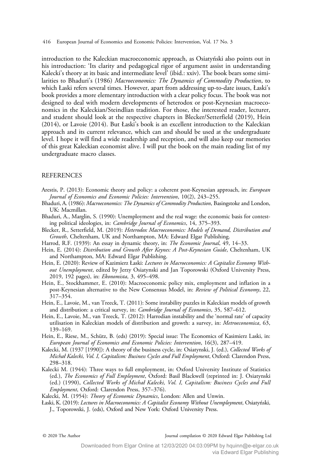416 European Journal of Economics and Economic Policies: Intervention, Vol. 17 No. 3

introduction to the Kaleckian macroeconomic approach, as Osiatyński also points out in his introduction: 'Its clarity and pedagogical rigor of argument assist in understanding Kalecki's theory at its basic and intermediate level' (ibid.: xxiv). The book bears some similarities to Bhaduri's (1986) Macroeconomics: The Dynamics of Commodity Production, to which Łaski refers several times. However, apart from addressing up-to-date issues, Łaski's book provides a more elementary introduction with a clear policy focus. The book was not designed to deal with modern developments of heterodox or post-Keynesian macroeconomics in the Kaleckian/Steindlian tradition. For those, the interested reader, lecturer, and student should look at the respective chapters in Blecker/Setterfield (2019), Hein (2014), or Lavoie (2014). But Łaski's book is an excellent introduction to the Kaleckian approach and its current relevance, which can and should be used at the undergraduate level. I hope it will find a wide readership and reception, and will also keep our memories of this great Kaleckian economist alive. I will put the book on the main reading list of my undergraduate macro classes.

## REFERENCES

- Arestis, P. (2013): Economic theory and policy: a coherent post-Keynesian approach, in: European Journal of Economics and Economic Policies: Intervention, 10(2), 243–255.
- Bhaduri, A. (1986): Macroeconomics: The Dynamics of Commodity Production, Basingstoke and London, UK: Macmillan.
- Bhaduri, A., Marglin, S. (1990): Unemployment and the real wage: the economic basis for contesting political ideologies, in: Cambridge Journal of Economics, 14, 375–393.
- Blecker, R., Setterfield, M. (2019): Heterodox Macroeconomics: Models of Demand, Distribution and Growth, Cheltenham, UK and Northampton, MA: Edward Elgar Publishing.
- Harrod, R.F. (1939): An essay in dynamic theory, in: The Economic Journal, 49, 14-33.
- Hein, E. (2014): Distribution and Growth After Keynes: A Post-Keynesian Guide, Cheltenham, UK and Northampton, MA: Edward Elgar Publishing.
- Hein, E. (2020): Review of Kazimierz Łaski: Lectures in Macroeconomics: A Capitalist Economy Without Unemployment, edited by Jerzy Osiatynski and Jan Toporowski (Oxford University Press, 2019, 192 pages), in: Ekonomista, 3, 495–498.
- Hein, E., Stockhammer, E. (2010): Macroeconomic policy mix, employment and inflation in a post-Keynesian alternative to the New Consensus Model, in: Review of Political Economy, 22, 317–354.
- Hein, E., Lavoie, M., van Treeck, T. (2011): Some instability puzzles in Kaleckian models of growth and distribution: a critical survey, in: Cambridge Journal of Economics, 35, 587-612.
- Hein, E., Lavoie, M., van Treeck, T. (2012): Harrodian instability and the 'normal rate' of capacity utilisation in Kaleckian models of distribution and growth: a survey, in: Metroeconomica, 63, 139–169.
- Hein, E., Riese, M., Schütz, B. (eds) (2019): Special issue: The Economics of Kasimierz Laski, in: European Journal of Economics and Economic Policies: Intervention, 16(3), 287–419.
- Kalecki, M. (1937 [1990]): A theory of the business cycle, in: Osiatynski, J. (ed.), Collected Works of Michał Kalecki, Vol. I, Capitalism: Business Cycles and Full Employment, Oxford: Clarendon Press, 298–318.
- Kalecki M. (1944): Three ways to full employment, in: Oxford University Institute of Statistics (ed.), The Economics of Full Employment, Oxford: Basil Blackwell (reprinted in: J. Osiatynski (ed.) (1990), Collected Works of Michał Kalecki, Vol. I, Capitalism: Business Cycles and Full Employment, Oxford: Clarendon Press, 357–376).
- Kalecki, M. (1954): Theory of Economic Dynamics, London: Allen and Unwin.
- Łaski, K. (2019): Lectures in Macroeconomics: A Capitalist Economy Without Unemployment, Osiatyński, J., Toporowski, J. (eds), Oxford and New York: Oxford University Press.

© 2020 The Author Journal compilation © 2020 Edward Elgar Publishing Ltd